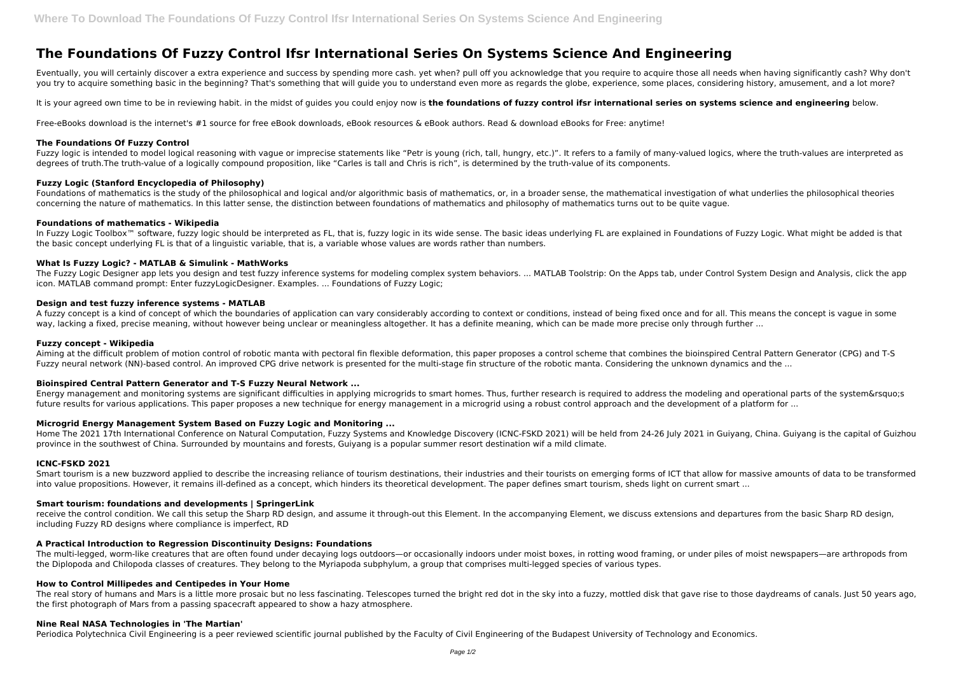Eventually, you will certainly discover a extra experience and success by spending more cash. yet when? pull off you acknowledge that you require to acquire those all needs when having significantly cash? Why don't you try to acquire something basic in the beginning? That's something that will guide you to understand even more as regards the globe, experience, some places, considering history, amusement, and a lot more?

It is your agreed own time to be in reviewing habit, in the midst of quides you could enjoy now is **the foundations of fuzzy control ifsr international series on systems science and engineering below.** 

# **The Foundations Of Fuzzy Control Ifsr International Series On Systems Science And Engineering**

Fuzzy logic is intended to model logical reasoning with vague or imprecise statements like "Petr is young (rich, tall, hungry, etc.)". It refers to a family of many-valued logics, where the truth-values are interpreted as degrees of truth.The truth-value of a logically compound proposition, like "Carles is tall and Chris is rich", is determined by the truth-value of its components.

Free-eBooks download is the internet's #1 source for free eBook downloads, eBook resources & eBook authors. Read & download eBooks for Free: anytime!

### **The Foundations Of Fuzzy Control**

In Fuzzy Logic Toolbox<sup>™</sup> software, fuzzy logic should be interpreted as FL, that is, fuzzy logic in its wide sense. The basic ideas underlying FL are explained in Foundations of Fuzzy Logic. What might be added is that the basic concept underlying FL is that of a linguistic variable, that is, a variable whose values are words rather than numbers.

The Fuzzy Logic Designer app lets you design and test fuzzy inference systems for modeling complex system behaviors. ... MATLAB Toolstrip: On the Apps tab, under Control System Design and Analysis, click the app icon. MATLAB command prompt: Enter fuzzyLogicDesigner. Examples. ... Foundations of Fuzzy Logic;

# **Fuzzy Logic (Stanford Encyclopedia of Philosophy)**

A fuzzy concept is a kind of concept of which the boundaries of application can vary considerably according to context or conditions, instead of being fixed once and for all. This means the concept is vague in some way, lacking a fixed, precise meaning, without however being unclear or meaningless altogether. It has a definite meaning, which can be made more precise only through further ...

Foundations of mathematics is the study of the philosophical and logical and/or algorithmic basis of mathematics, or, in a broader sense, the mathematical investigation of what underlies the philosophical theories concerning the nature of mathematics. In this latter sense, the distinction between foundations of mathematics and philosophy of mathematics turns out to be quite vague.

# **Foundations of mathematics - Wikipedia**

Smart tourism is a new buzzword applied to describe the increasing reliance of tourism destinations, their industries and their tourists on emerging forms of ICT that allow for massive amounts of data to be transformed into value propositions. However, it remains ill-defined as a concept, which hinders its theoretical development. The paper defines smart tourism, sheds light on current smart ...

### **What Is Fuzzy Logic? - MATLAB & Simulink - MathWorks**

receive the control condition. We call this setup the Sharp RD design, and assume it through-out this Element. In the accompanying Element, we discuss extensions and departures from the basic Sharp RD design, including Fuzzy RD designs where compliance is imperfect, RD

### **Design and test fuzzy inference systems - MATLAB**

The real story of humans and Mars is a little more prosaic but no less fascinating. Telescopes turned the bright red dot in the sky into a fuzzy, mottled disk that gave rise to those daydreams of canals. Just 50 years ago, the first photograph of Mars from a passing spacecraft appeared to show a hazy atmosphere.

# **Fuzzy concept - Wikipedia**

Aiming at the difficult problem of motion control of robotic manta with pectoral fin flexible deformation, this paper proposes a control scheme that combines the bioinspired Central Pattern Generator (CPG) and T-S Fuzzy neural network (NN)-based control. An improved CPG drive network is presented for the multi-stage fin structure of the robotic manta. Considering the unknown dynamics and the ...

# **Bioinspired Central Pattern Generator and T-S Fuzzy Neural Network ...**

Energy management and monitoring systems are significant difficulties in applying microgrids to smart homes. Thus, further research is required to address the modeling and operational parts of the system&rsquo:s future results for various applications. This paper proposes a new technique for energy management in a microgrid using a robust control approach and the development of a platform for ...

# **Microgrid Energy Management System Based on Fuzzy Logic and Monitoring ...**

Home The 2021 17th International Conference on Natural Computation, Fuzzy Systems and Knowledge Discovery (ICNC-FSKD 2021) will be held from 24-26 July 2021 in Guiyang, China. Guiyang is the capital of Guizhou province in the southwest of China. Surrounded by mountains and forests, Guiyang is a popular summer resort destination wif a mild climate.

# **ICNC-FSKD 2021**

#### **Smart tourism: foundations and developments | SpringerLink**

#### **A Practical Introduction to Regression Discontinuity Designs: Foundations**

The multi-legged, worm-like creatures that are often found under decaying logs outdoors—or occasionally indoors under moist boxes, in rotting wood framing, or under piles of moist newspapers—are arthropods from the Diplopoda and Chilopoda classes of creatures. They belong to the Myriapoda subphylum, a group that comprises multi-legged species of various types.

#### **How to Control Millipedes and Centipedes in Your Home**

#### **Nine Real NASA Technologies in 'The Martian'**

Periodica Polytechnica Civil Engineering is a peer reviewed scientific journal published by the Faculty of Civil Engineering of the Budapest University of Technology and Economics.